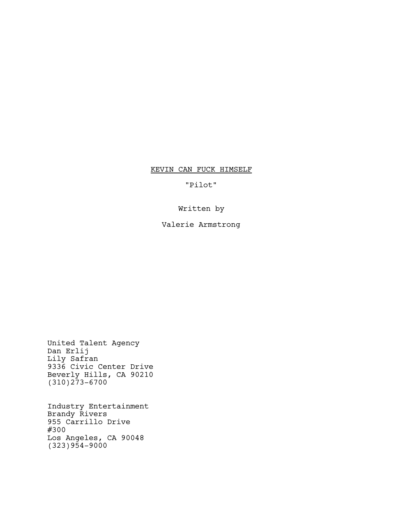# KEVIN CAN FUCK HIMSELF

"Pilot"

# Written by

# Valerie Armstrong

United Talent Agency Dan Erlij Lily Safran 9336 Civic Center Drive Beverly Hills, CA 90210 (310)273-6700

Industry Entertainment Brandy Rivers 955 Carrillo Drive #300 Los Angeles, CA 90048 (323)954-9000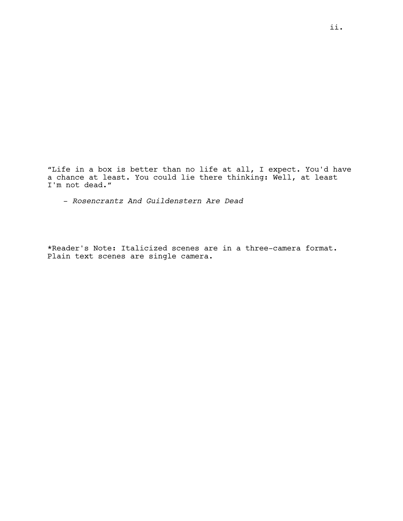"Life in a box is better than no life at all, I expect. You'd have a chance at least. You could lie there thinking: Well, at least I'm not dead."

- *Rosencrantz And Guildenstern Are Dead*

\*Reader's Note: Italicized scenes are in a three-camera format. Plain text scenes are single camera.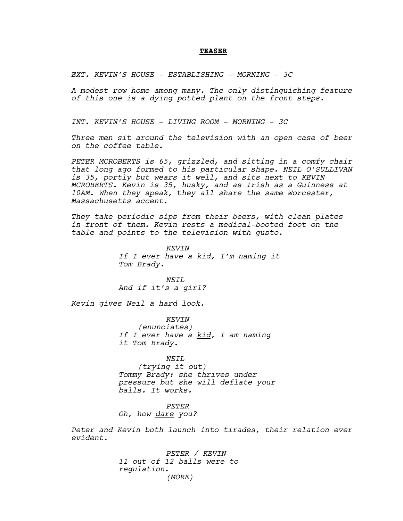#### **TEASER**

*EXT. KEVIN'S HOUSE - ESTABLISHING - MORNING - 3C*

*A modest row home among many. The only distinguishing feature of this one is a dying potted plant on the front steps.*

*INT. KEVIN'S HOUSE - LIVING ROOM - MORNING - 3C*

*Three men sit around the television with an open case of beer on the coffee table.* 

*PETER MCROBERTS is 65, grizzled, and sitting in a comfy chair that long ago formed to his particular shape. NEIL O'SULLIVAN is 35, portly but wears it well, and sits next to KEVIN MCROBERTS. Kevin is 35, husky, and as Irish as a Guinness at 10AM. When they speak,* t*hey all share the same Worcester, Massachusetts accent.*

*They take periodic sips from their beers, with clean plates in front of them. Kevin rests a medical-booted foot on the table and points to the television with gusto.* 

> *KEVIN If I ever have a kid, I'm naming it Tom Brady.*

*NEIL And if it's a girl?*

*Kevin gives Neil a hard look.*

*KEVIN (enunciates) If I ever have a kid, I am naming it Tom Brady.*

*NEIL (trying it out) Tommy Brady: she thrives under pressure but she will deflate your balls. It works.*

*PETER*

*Oh, how dare you?*

*Peter and Kevin both launch into tirades, their relation ever evident.*

> *PETER / KEVIN 11 out of 12 balls were to regulation. (MORE)*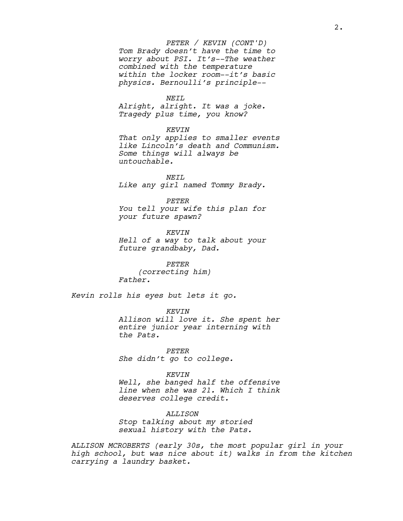# *Tom Brady doesn't have the time to worry about PSI. It's--The weather combined with the temperature within the locker room--it's basic physics. Bernoulli's principle-- PETER / KEVIN (CONT'D)*

*NEIL*

*Alright, alright. It was a joke. Tragedy plus time, you know?*

#### *KEVIN*

*That only applies to smaller events like Lincoln's death and Communism. Some things will always be untouchable.*

*NEIL Like any girl named Tommy Brady.*

*PETER*

*You tell your wife this plan for your future spawn?*

*KEVIN Hell of a way to talk about your future grandbaby, Dad.*

*PETER (correcting him) Father.*

*Kevin rolls his eyes but lets it go.*

*KEVIN*

*Allison will love it. She spent her entire junior year interning with the Pats.*

*PETER She didn't go to college.*

*KEVIN*

*Well, she banged half the offensive line when she was 21. Which I think deserves college credit.*

*ALLISON Stop talking about my storied sexual history with the Pats.* 

*ALLISON MCROBERTS (early 30s, the most popular girl in your high school, but was nice about it) walks in from the kitchen carrying a laundry basket.*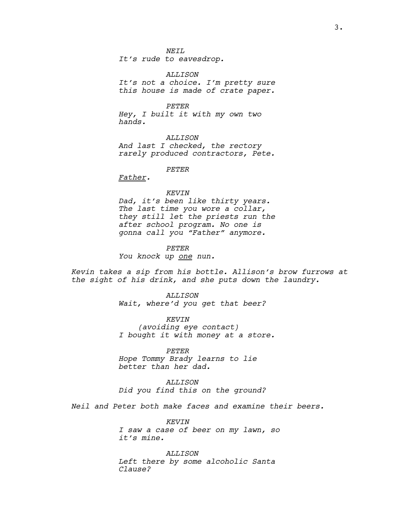*NEIL*

*It's rude to eavesdrop.*

*ALLISON It's not a choice. I'm pretty sure this house is made of crate paper.*

*PETER Hey, I built it with my own two hands.*

*ALLISON And last I checked, the rectory rarely produced contractors, Pete.*

*PETER*

*Father.*

#### *KEVIN*

*Dad, it's been like thirty years. The last time you wore a collar, they still let the priests run the after school program. No one is gonna call you "Father" anymore.*

*PETER You knock up one nun.*

*Kevin takes a sip from his bottle. Allison's brow furrows at the sight of his drink, and she puts down the laundry.*

> *ALLISON Wait, where'd you get that beer?*

*KEVIN (avoiding eye contact) I bought it with money at a store.*

*PETER Hope Tommy Brady learns to lie better than her dad.*

*ALLISON Did you find this on the ground?*

*Neil and Peter both make faces and examine their beers.*

*KEVIN I saw a case of beer on my lawn, so it's mine.*

*ALLISON Left there by some alcoholic Santa Clause?*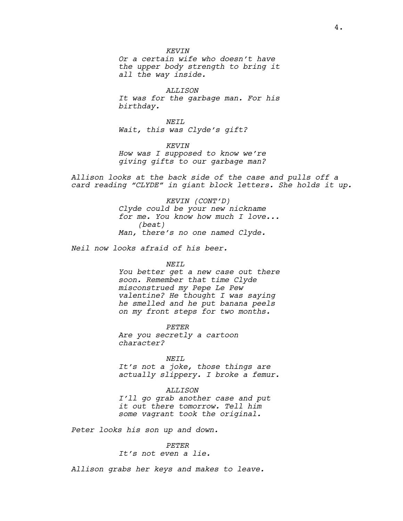*Or a certain wife who doesn't have the upper body strength to bring it all the way inside.*

*ALLISON It was for the garbage man. For his birthday.*

*NEIL Wait, this was Clyde's gift?*

*KEVIN How was I supposed to know we're giving gifts to our garbage man?*

*Allison looks at the back side of the case and pulls off a card reading "CLYDE" in giant block letters. She holds it up.*

> *KEVIN (CONT'D) Clyde could be your new nickname for me. You know how much I love... (beat) Man, there's no one named Clyde.*

*Neil now looks afraid of his beer.*

#### *NEIL*

*You better get a new case out there soon. Remember that time Clyde misconstrued my Pepe Le Pew valentine? He thought I was saying he smelled and he put banana peels on my front steps for two months.*

*PETER Are you secretly a cartoon character?*

*NEIL*

*It's not a joke, those things are actually slippery. I broke a femur.*

#### *ALLISON*

*I'll go grab another case and put it out there tomorrow. Tell him some vagrant took the original.*

*Peter looks his son up and down.*

*PETER It's not even a lie.*

*Allison grabs her keys and makes to leave.*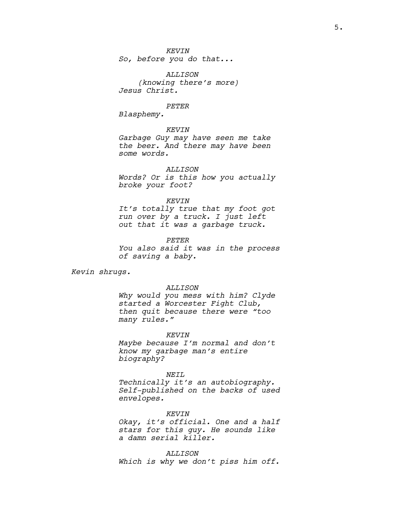*So, before you do that...*

*ALLISON (knowing there's more) Jesus Christ.*

#### *PETER*

*Blasphemy.*

## *KEVIN*

*Garbage Guy may have seen me take the beer. And there may have been some words.*

*ALLISON Words? Or is this how you actually broke your foot?*

#### *KEVIN*

*It's totally true that my foot got run over by a truck. I just left out that it was a garbage truck.*

#### *PETER*

*You also said it was in the process of saving a baby.*

*Kevin shrugs.*

#### *ALLISON*

*Why would you mess with him? Clyde started a Worcester Fight Club, then quit because there were "too many rules."*

#### *KEVIN*

*Maybe because I'm normal and don't know my garbage man's entire biography?*

#### *NEIL*

*Technically it's an autobiography. Self-published on the backs of used envelopes.*

*KEVIN Okay, it's official. One and a half stars for this guy. He sounds like a damn serial killer.*

*ALLISON Which is why we don't piss him off.*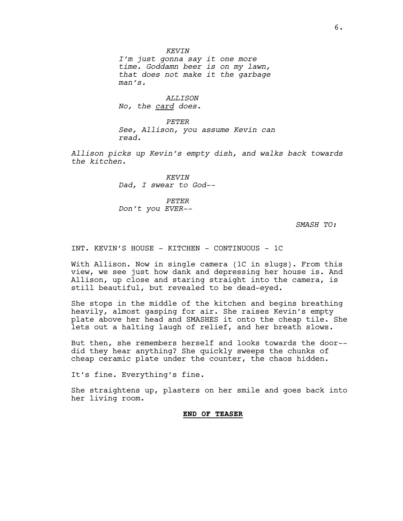*I'm just gonna say it one more time. Goddamn beer is on my lawn, that does not make it the garbage man's.*

*ALLISON No, the card does.*

*PETER See, Allison, you assume Kevin can read.*

*Allison picks up Kevin's empty dish, and walks back towards the kitchen.*

> *KEVIN Dad, I swear to God--*

*PETER Don't you EVER--*

*SMASH TO:*

INT. KEVIN'S HOUSE - KITCHEN - CONTINUOUS - 1C

With Allison. Now in single camera (1C in slugs). From this view, we see just how dank and depressing her house is. And Allison, up close and staring straight into the camera, is still beautiful, but revealed to be dead-eyed.

She stops in the middle of the kitchen and begins breathing heavily, almost gasping for air. She raises Kevin's empty plate above her head and SMASHES it onto the cheap tile. She lets out a halting laugh of relief, and her breath slows.

But then, she remembers herself and looks towards the door- did they hear anything? She quickly sweeps the chunks of cheap ceramic plate under the counter, the chaos hidden.

It's fine. Everything's fine.

She straightens up, plasters on her smile and goes back into her living room.

# **END OF TEASER**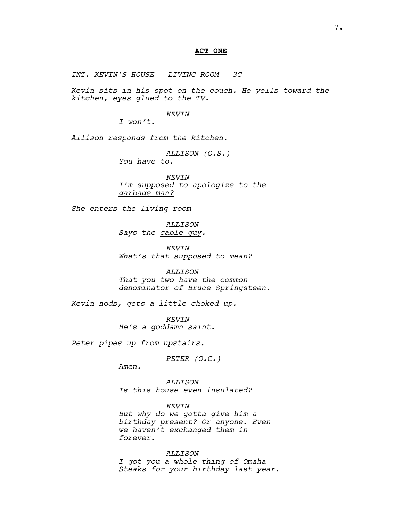## **ACT ONE**

*INT. KEVIN'S HOUSE - LIVING ROOM - 3C*

*Kevin sits in his spot on the couch. He yells toward the kitchen, eyes glued to the TV.*

#### *KEVIN*

*I won't.*

*Allison responds from the kitchen.*

*ALLISON (O.S.) You have to.*

*KEVIN I'm supposed to apologize to the garbage man?*

*She enters the living room*

*ALLISON Says the cable guy.*

*KEVIN What's that supposed to mean?*

*ALLISON That you two have the common denominator of Bruce Springsteen.*

*Kevin nods, gets a little choked up.*

*KEVIN He's a goddamn saint.*

*Peter pipes up from upstairs.*

*PETER (O.C.)*

*Amen.*

*ALLISON Is this house even insulated?*

*KEVIN*

*But why do we gotta give him a birthday present? Or anyone. Even we haven't exchanged them in forever.*

*ALLISON I got you a whole thing of Omaha Steaks for your birthday last year.*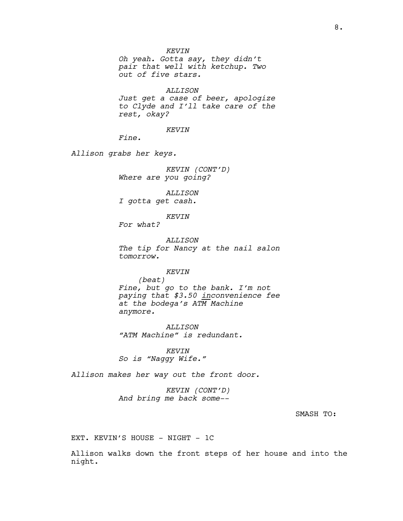*Oh yeah. Gotta say, they didn't pair that well with ketchup. Two out of five stars.*

*ALLISON Just get a case of beer, apologize to Clyde and I'll take care of the rest, okay?*

*KEVIN*

*Fine.*

*Allison grabs her keys.*

*KEVIN (CONT'D) Where are you going?*

*ALLISON I gotta get cash.*

*KEVIN*

*For what?*

*ALLISON The tip for Nancy at the nail salon tomorrow.*

## *KEVIN*

*(beat) Fine, but go to the bank. I'm not paying that \$3.50 inconvenience fee at the bodega's ATM Machine anymore.* 

*ALLISON "ATM Machine" is redundant.*

*KEVIN So is "Naggy Wife."*

*Allison makes her way out the front door.*

*KEVIN (CONT'D) And bring me back some--*

# SMASH TO:

EXT. KEVIN'S HOUSE - NIGHT - 1C

Allison walks down the front steps of her house and into the night.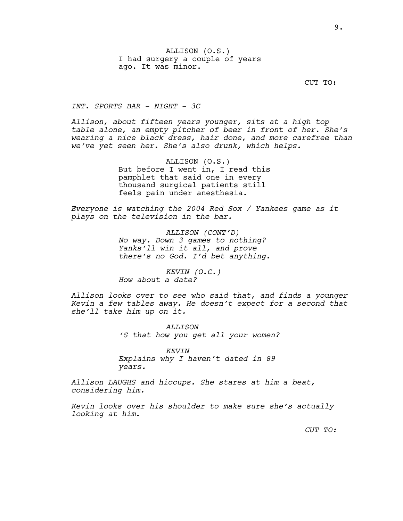CUT TO:

*INT. SPORTS BAR - NIGHT - 3C*

*Allison, about fifteen years younger, sits at a high top table alone, an empty pitcher of beer in front of her. She's wearing a nice black dress, hair done, and more carefree than we've yet seen her. She's also drunk, which helps.*

> ALLISON (O.S.) But before I went in, I read this pamphlet that said one in every thousand surgical patients still feels pain under anesthesia.

*Everyone is watching the 2004 Red Sox / Yankees game as it plays on the television in the bar.*

> *ALLISON (CONT'D) No way. Down 3 games to nothing? Yanks'll win it all, and prove there's no God. I'd bet anything.*

*KEVIN (O.C.) How about a date?*

*Allison looks over to see who said that, and finds a younger Kevin a few tables away. He doesn't expect for a second that she'll take him up on it.*

> *ALLISON 'S that how you get all your women?*

*KEVIN Explains why I haven't dated in 89 years.*

*Allison LAUGHS and hiccups. She stares at him a beat, considering him.*

*Kevin looks over his shoulder to make sure she's actually looking at him.*

*CUT TO:*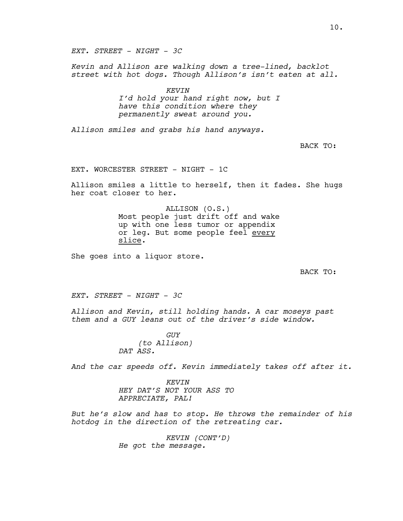*EXT. STREET - NIGHT - 3C*

*Kevin and Allison are walking down a tree-lined, backlot street with hot dogs. Though Allison's isn't eaten at all.*

> *KEVIN I'd hold your hand right now, but I have this condition where they permanently sweat around you.*

*Allison smiles and grabs his hand anyways.*

BACK TO:

EXT. WORCESTER STREET - NIGHT - 1C

Allison smiles a little to herself, then it fades. She hugs her coat closer to her.

> ALLISON (O.S.) Most people just drift off and wake up with one less tumor or appendix or leg. But some people feel every slice.

She goes into a liquor store.

BACK TO:

*EXT. STREET - NIGHT - 3C*

*Allison and Kevin, still holding hands. A car moseys past them and a GUY leans out of the driver's side window.*

> *GUY (to Allison) DAT ASS.*

*And the car speeds off. Kevin immediately takes off after it.*

*KEVIN HEY DAT'S NOT YOUR ASS TO APPRECIATE, PAL!*

*But he's slow and has to stop. He throws the remainder of his hotdog in the direction of the retreating car.*

> *KEVIN (CONT'D) He got the message.*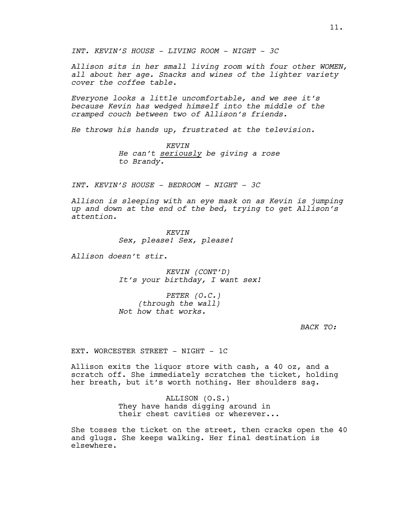*INT. KEVIN'S HOUSE - LIVING ROOM - NIGHT - 3C*

*Allison sits in her small living room with four other WOMEN, all about her age. Snacks and wines of the lighter variety cover the coffee table.*

*Everyone looks a little uncomfortable, and we see it's because Kevin has wedged himself into the middle of the cramped couch between two of Allison's friends.*

*He throws his hands up, frustrated at the television.*

*KEVIN He can't seriously be giving a rose to Brandy.*

*INT. KEVIN'S HOUSE - BEDROOM - NIGHT - 3C*

*Allison is sleeping with an eye mask on as Kevin is jumping up and down at the end of the bed, trying to get Allison's attention.*

> *KEVIN Sex, please! Sex, please!*

*Allison doesn't stir.*

*KEVIN (CONT'D) It's your birthday, I want sex!*

*PETER (O.C.) (through the wall) Not how that works.*

*BACK TO:*

EXT. WORCESTER STREET - NIGHT - 1C

Allison exits the liquor store with cash, a 40 oz, and a scratch off. She immediately scratches the ticket, holding her breath, but it's worth nothing. Her shoulders sag.

> ALLISON (O.S.) They have hands digging around in their chest cavities or wherever...

She tosses the ticket on the street, then cracks open the 40 and glugs. She keeps walking. Her final destination is elsewhere.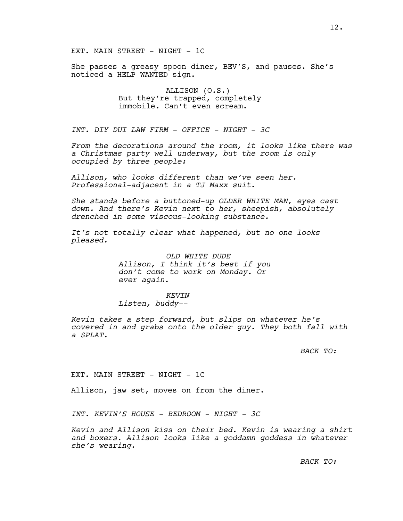She passes a greasy spoon diner, BEV'S, and pauses. She's noticed a HELP WANTED sign.

> ALLISON (O.S.) But they're trapped, completely immobile. Can't even scream.

*INT. DIY DUI LAW FIRM - OFFICE - NIGHT - 3C*

*From the decorations around the room, it looks like there was a Christmas party well underway, but the room is only occupied by three people:*

*Allison, who looks different than we've seen her. Professional-adjacent in a TJ Maxx suit.*

*She stands before a buttoned-up OLDER WHITE MAN, eyes cast down. And there's Kevin next to her, sheepish, absolutely drenched in some viscous-looking substance.* 

*It's not totally clear what happened, but no one looks pleased.*

> *OLD WHITE DUDE Allison, I think it's best if you don't come to work on Monday. Or ever again.*

## *KEVIN*

*Listen, buddy--*

*Kevin takes a step forward, but slips on whatever he's covered in and grabs onto the older guy. They both fall with a SPLAT.*

## *BACK TO:*

EXT. MAIN STREET - NIGHT - 1C

Allison, jaw set, moves on from the diner.

*INT. KEVIN'S HOUSE - BEDROOM - NIGHT - 3C*

*Kevin and Allison kiss on their bed. Kevin is wearing a shirt and boxers. Allison looks like a goddamn goddess in whatever she's wearing.*

*BACK TO:*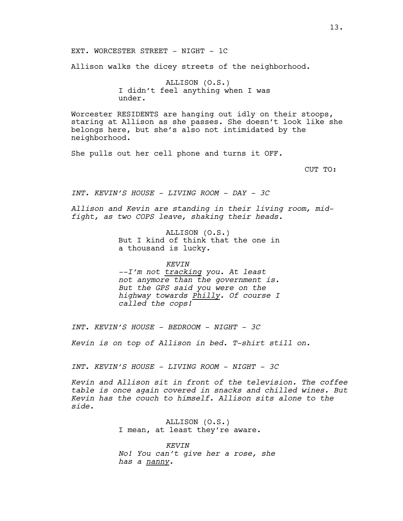Allison walks the dicey streets of the neighborhood.

ALLISON (O.S.) I didn't feel anything when I was under.

Worcester RESIDENTS are hanging out idly on their stoops, staring at Allison as she passes. She doesn't look like she belongs here, but she's also not intimidated by the neighborhood.

She pulls out her cell phone and turns it OFF.

CUT TO:

*INT. KEVIN'S HOUSE - LIVING ROOM - DAY - 3C*

*Allison and Kevin are standing in their living room, midfight, as two COPS leave, shaking their heads.*

> ALLISON (O.S.) But I kind of think that the one in a thousand is lucky.

*KEVIN --I'm not tracking you. At least not anymore than the government is. But the GPS said you were on the highway towards Philly. Of course I called the cops!*

*INT. KEVIN'S HOUSE - BEDROOM - NIGHT - 3C*

*Kevin is on top of Allison in bed. T-shirt still on.*

*INT. KEVIN'S HOUSE - LIVING ROOM - NIGHT - 3C*

*Kevin and Allison sit in front of the television. The coffee table is once again covered in snacks and chilled wines. But Kevin has the couch to himself. Allison sits alone to the side.*

> ALLISON (O.S.) I mean, at least they're aware.

*KEVIN No! You can't give her a rose, she has a nanny.*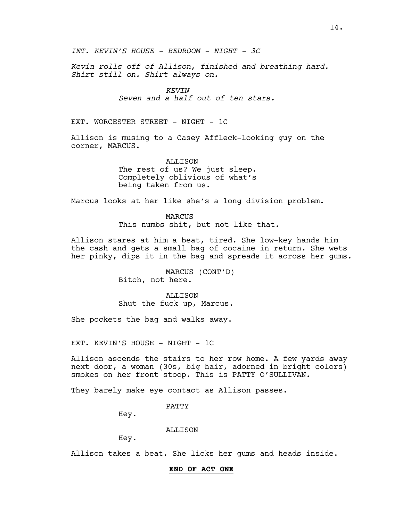*Kevin rolls off of Allison, finished and breathing hard. Shirt still on. Shirt always on.*

## *KEVIN*

*Seven and a half out of ten stars.*

EXT. WORCESTER STREET - NIGHT - 1C

Allison is musing to a Casey Affleck-looking guy on the corner, MARCUS.

> ALLISON The rest of us? We just sleep. Completely oblivious of what's being taken from us.

Marcus looks at her like she's a long division problem.

MARCUS This numbs shit, but not like that.

Allison stares at him a beat, tired. She low-key hands him the cash and gets a small bag of cocaine in return. She wets her pinky, dips it in the bag and spreads it across her gums.

> MARCUS (CONT'D) Bitch, not here.

**ALLISON** Shut the fuck up, Marcus.

She pockets the bag and walks away.

EXT. KEVIN'S HOUSE - NIGHT - 1C

Allison ascends the stairs to her row home. A few yards away next door, a woman (30s, big hair, adorned in bright colors) smokes on her front stoop. This is PATTY O'SULLIVAN.

They barely make eye contact as Allison passes.

PATTY

Hey.

ALLISON

Hey.

Allison takes a beat. She licks her gums and heads inside.

#### **END OF ACT ONE**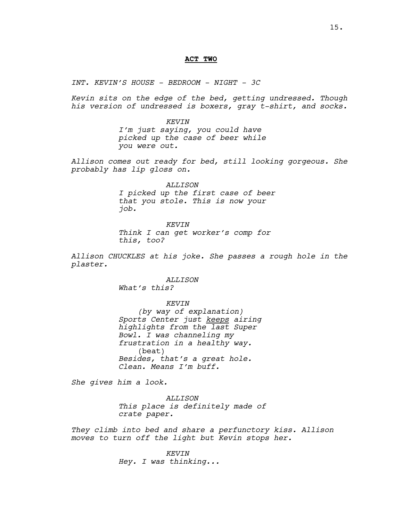#### **ACT TWO**

*INT. KEVIN'S HOUSE - BEDROOM - NIGHT - 3C*

*Kevin sits on the edge of the bed, getting undressed. Though his version of undressed is boxers, gray t-shirt, and socks.*

> *KEVIN I'm just saying, you could have picked up the case of beer while you were out.*

*Allison comes out ready for bed, still looking gorgeous. She probably has lip gloss on.*

> *ALLISON I picked up the first case of beer that you stole. This is now your job.*

*KEVIN Think I can get worker's comp for this, too?*

*Allison CHUCKLES at his joke. She passes a rough hole in the plaster.*

*ALLISON*

*What's this?*

*KEVIN*

*(by way of explanation) Sports Center just keeps airing highlights from the last Super Bowl. I was channeling my frustration in a healthy way.* (beat) *Besides, that's a great hole. Clean. Means I'm buff.*

*She gives him a look.*

*ALLISON This place is definitely made of crate paper.*

*They climb into bed and share a perfunctory kiss. Allison moves to turn off the light but Kevin stops her.*

> *KEVIN Hey. I was thinking...*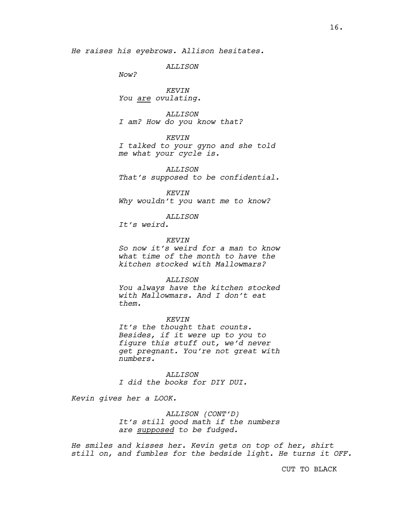*He raises his eyebrows. Allison hesitates.*

*ALLISON*

*Now?*

*KEVIN You are ovulating.*

*ALLISON*

*I am? How do you know that?*

*KEVIN*

*I talked to your gyno and she told me what your cycle is.*

*ALLISON That's supposed to be confidential.*

*KEVIN Why wouldn't you want me to know?*

*ALLISON*

*It's weird.*

*KEVIN*

*So now it's weird for a man to know what time of the month to have the kitchen stocked with Mallowmars?* 

*ALLISON*

*You always have the kitchen stocked with Mallowmars. And I don't eat them.*

*KEVIN*

*It's the thought that counts. Besides, if it were up to you to figure this stuff out, we'd never get pregnant. You're not great with numbers.*

*ALLISON I did the books for DIY DUI.*

*Kevin gives her a LOOK.*

*ALLISON (CONT'D) It's still good math if the numbers are supposed to be fudged.*

*He smiles and kisses her. Kevin gets on top of her, shirt still on, and fumbles for the bedside light. He turns it OFF.*

CUT TO BLACK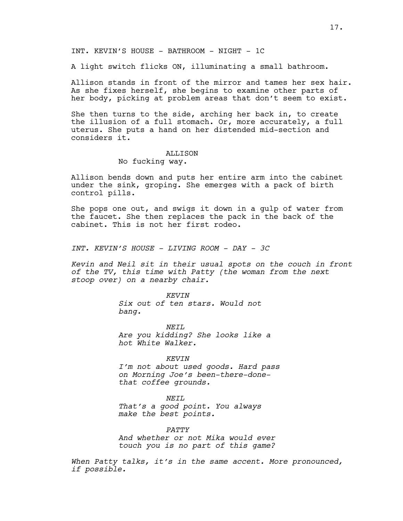INT. KEVIN'S HOUSE - BATHROOM - NIGHT - 1C

A light switch flicks ON, illuminating a small bathroom.

Allison stands in front of the mirror and tames her sex hair. As she fixes herself, she begins to examine other parts of her body, picking at problem areas that don't seem to exist.

She then turns to the side, arching her back in, to create the illusion of a full stomach. Or, more accurately, a full uterus. She puts a hand on her distended mid-section and considers it.

# **ALLISON**

# No fucking way.

Allison bends down and puts her entire arm into the cabinet under the sink, groping. She emerges with a pack of birth control pills.

She pops one out, and swigs it down in a gulp of water from the faucet. She then replaces the pack in the back of the cabinet. This is not her first rodeo.

*INT. KEVIN'S HOUSE - LIVING ROOM - DAY - 3C*

*Kevin and Neil sit in their usual spots on the couch in front of the TV, this time with Patty (the woman from the next stoop over) on a nearby chair.*

> *KEVIN Six out of ten stars. Would not bang.*

*NEIL Are you kidding? She looks like a hot White Walker.*

#### *KEVIN*

*I'm not about used goods. Hard pass on Morning Joe's been-there-donethat coffee grounds.*

#### *NEIL*

*That's a good point. You always make the best points.* 

*PATTY And whether or not Mika would ever touch you is no part of this game?*

*When Patty talks, it's in the same accent. More pronounced, if possible.*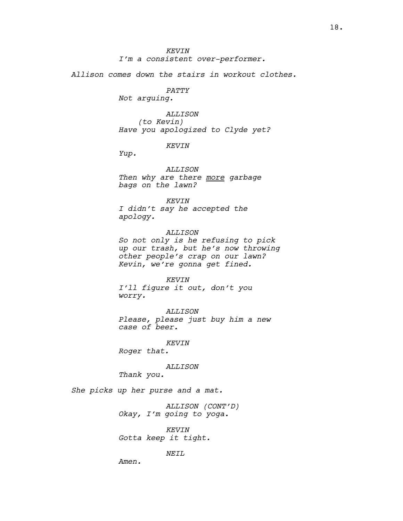*I'm a consistent over-performer.*

*Allison comes down the stairs in workout clothes.*

*PATTY*

*Not arguing.*

*ALLISON (to Kevin) Have you apologized to Clyde yet?*

# *KEVIN*

*Yup.*

*ALLISON Then why are there more garbage bags on the lawn?*

## *KEVIN*

*I didn't say he accepted the apology.*

*ALLISON So not only is he refusing to pick up our trash, but he's now throwing other people's crap on our lawn? Kevin, we're gonna get fined.*

#### *KEVIN*

*I'll figure it out, don't you worry.*

*ALLISON Please, please just buy him a new case of beer.*

*KEVIN*

*Roger that.*

*ALLISON*

*Thank you.*

*She picks up her purse and a mat.*

*ALLISON (CONT'D) Okay, I'm going to yoga.*

*KEVIN Gotta keep it tight.*

*NEIL*

*Amen.*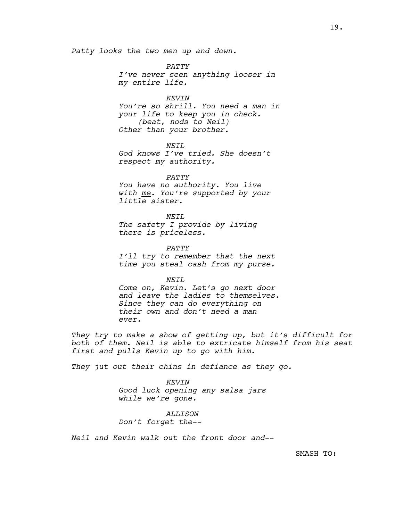*Patty looks the two men up and down.*

*PATTY I've never seen anything looser in my entire life.*

*KEVIN You're so shrill. You need a man in your life to keep you in check. (beat, nods to Neil) Other than your brother.*

*NEIL God knows I've tried. She doesn't respect my authority.*

*PATTY You have no authority. You live with me. You're supported by your little sister.*

*NEIL The safety I provide by living there is priceless.*

*PATTY I'll try to remember that the next time you steal cash from my purse.*

*NEIL Come on, Kevin. Let's go next door and leave the ladies to themselves. Since they can do everything on their own and don't need a man ever.*

*They try to make a show of getting up, but it's difficult for both of them. Neil is able to extricate himself from his seat first and pulls Kevin up to go with him.* 

*They jut out their chins in defiance as they go.*

*KEVIN Good luck opening any salsa jars while we're gone.*

*ALLISON Don't forget the--*

*Neil and Kevin walk out the front door and--*

SMASH TO: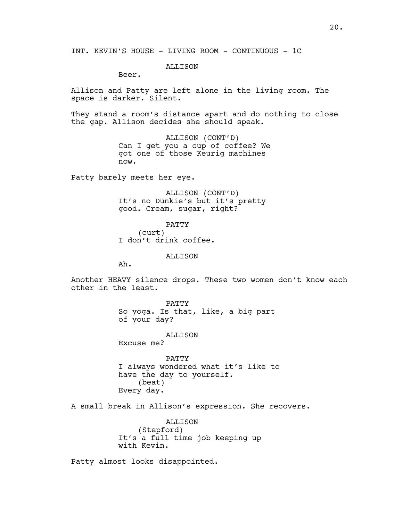# **ALLISON**

Beer.

Allison and Patty are left alone in the living room. The space is darker. Silent.

They stand a room's distance apart and do nothing to close the gap. Allison decides she should speak.

> ALLISON (CONT'D) Can I get you a cup of coffee? We got one of those Keurig machines now.

Patty barely meets her eye.

ALLISON (CONT'D) It's no Dunkie's but it's pretty good. Cream, sugar, right?

PATTY (curt) I don't drink coffee.

ALLISON

Ah.

Another HEAVY silence drops. These two women don't know each other in the least.

> PATTY So yoga. Is that, like, a big part of your day?

> > ALLISON

Excuse me?

PATTY I always wondered what it's like to have the day to yourself. (beat) Every day.

A small break in Allison's expression. She recovers.

ALLISON (Stepford) It's a full time job keeping up with Kevin.

Patty almost looks disappointed.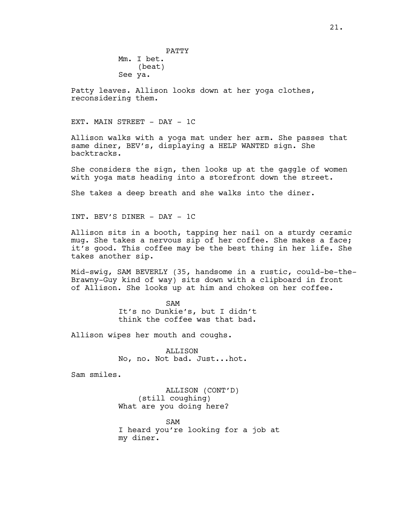PATTY Mm. I bet. (beat) See ya.

Patty leaves. Allison looks down at her yoga clothes, reconsidering them.

EXT. MAIN STREET - DAY - 1C

Allison walks with a yoga mat under her arm. She passes that same diner, BEV's, displaying a HELP WANTED sign. She backtracks.

She considers the sign, then looks up at the gaggle of women with yoga mats heading into a storefront down the street.

She takes a deep breath and she walks into the diner.

INT. BEV'S DINER - DAY - 1C

Allison sits in a booth, tapping her nail on a sturdy ceramic mug. She takes a nervous sip of her coffee. She makes a face; it's good. This coffee may be the best thing in her life. She takes another sip.

Mid-swig, SAM BEVERLY (35, handsome in a rustic, could-be-the-Brawny-Guy kind of way) sits down with a clipboard in front of Allison. She looks up at him and chokes on her coffee.

> SAM It's no Dunkie's, but I didn't think the coffee was that bad.

Allison wipes her mouth and coughs.

ALLISON No, no. Not bad. Just...hot.

Sam smiles.

ALLISON (CONT'D) (still coughing) What are you doing here?

SAM I heard you're looking for a job at my diner.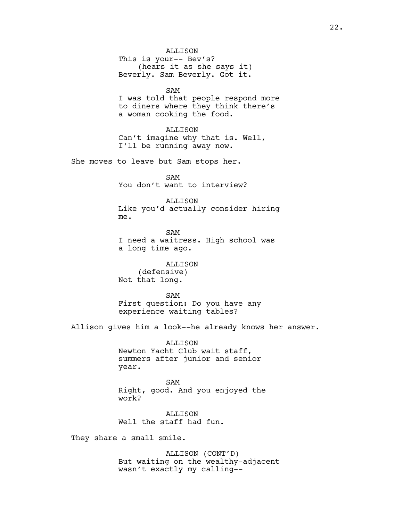SAM

I was told that people respond more to diners where they think there's a woman cooking the food.

ALLISON Can't imagine why that is. Well, I'll be running away now.

She moves to leave but Sam stops her.

SAM You don't want to interview?

ALLISON

Like you'd actually consider hiring me.

SAM I need a waitress. High school was a long time ago.

ALLISON (defensive) Not that long.

SAM First question: Do you have any experience waiting tables?

Allison gives him a look--he already knows her answer.

ALLISON Newton Yacht Club wait staff, summers after junior and senior year.

SAM Right, good. And you enjoyed the work?

**ALLISON** Well the staff had fun.

They share a small smile.

ALLISON (CONT'D) But waiting on the wealthy-adjacent wasn't exactly my calling--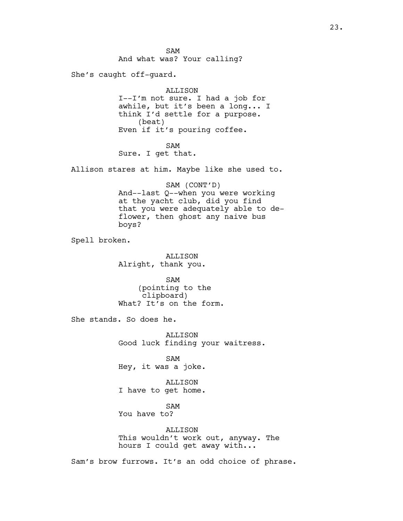SAM And what was? Your calling?

She's caught off-guard.

ALLISON I--I'm not sure. I had a job for awhile, but it's been a long... I think I'd settle for a purpose. (beat) Even if it's pouring coffee.

SAM

Sure. I get that.

Allison stares at him. Maybe like she used to.

SAM (CONT'D) And--last Q--when you were working at the yacht club, did you find that you were adequately able to deflower, then ghost any naive bus boys?

Spell broken.

ALLISON Alright, thank you.

SAM (pointing to the clipboard) What? It's on the form.

She stands. So does he.

ALLISON Good luck finding your waitress.

SAM Hey, it was a joke.

ALLISON I have to get home.

SAM

You have to?

ALLISON This wouldn't work out, anyway. The hours I could get away with...

Sam's brow furrows. It's an odd choice of phrase.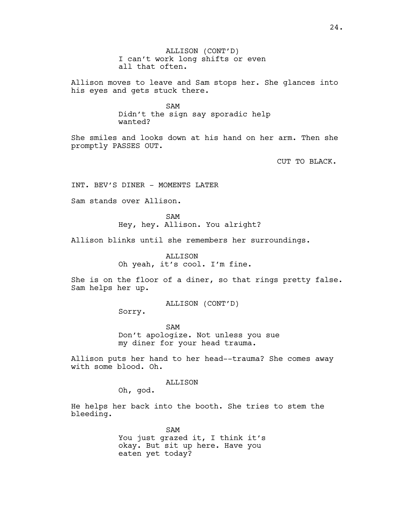ALLISON (CONT'D) I can't work long shifts or even all that often.

Allison moves to leave and Sam stops her. She glances into his eyes and gets stuck there.

> SAM Didn't the sign say sporadic help wanted?

She smiles and looks down at his hand on her arm. Then she promptly PASSES OUT.

CUT TO BLACK.

INT. BEV'S DINER - MOMENTS LATER

Sam stands over Allison.

SAM Hey, hey. Allison. You alright?

Allison blinks until she remembers her surroundings.

ALLISON Oh yeah, it's cool. I'm fine.

She is on the floor of a diner, so that rings pretty false. Sam helps her up.

ALLISON (CONT'D)

Sorry.

SAM Don't apologize. Not unless you sue my diner for your head trauma.

Allison puts her hand to her head--trauma? She comes away with some blood. Oh.

ALLISON

Oh, god.

He helps her back into the booth. She tries to stem the bleeding.

> SAM You just grazed it, I think it's okay. But sit up here. Have you eaten yet today?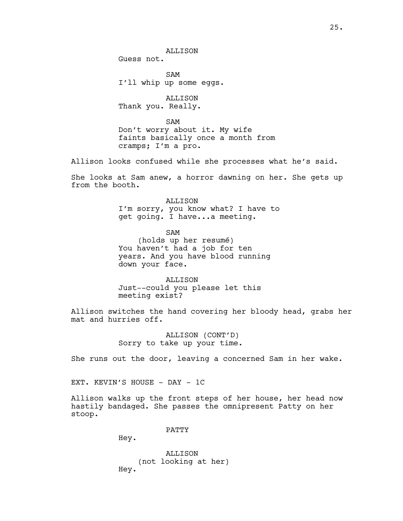ALLISON

Guess not.

SAM I'll whip up some eggs.

ALLISON Thank you. Really.

SAM Don't worry about it. My wife faints basically once a month from cramps; I'm a pro.

Allison looks confused while she processes what he's said.

She looks at Sam anew, a horror dawning on her. She gets up from the booth.

> ALLISON I'm sorry, you know what? I have to get going. I have...a meeting.

SAM (holds up her resumé) You haven't had a job for ten years. And you have blood running down your face.

**ALLISON** Just--could you please let this meeting exist?

Allison switches the hand covering her bloody head, grabs her mat and hurries off.

> ALLISON (CONT'D) Sorry to take up your time.

She runs out the door, leaving a concerned Sam in her wake.

EXT. KEVIN'S HOUSE - DAY - 1C

Allison walks up the front steps of her house, her head now hastily bandaged. She passes the omnipresent Patty on her stoop.

PATTY

Hey.

ALLISON (not looking at her) Hey.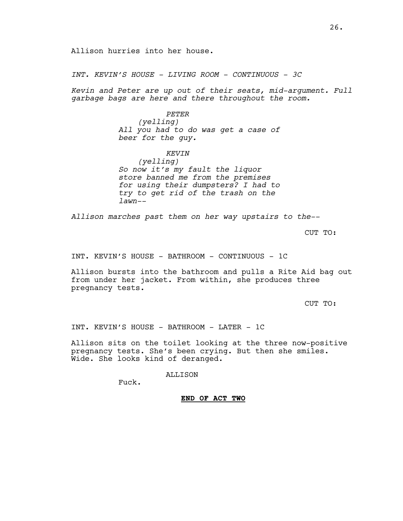Allison hurries into her house.

*INT. KEVIN'S HOUSE - LIVING ROOM - CONTINUOUS - 3C*

*Kevin and Peter are up out of their seats, mid-argument. Full garbage bags are here and there throughout the room.* 

## *PETER*

*(yelling) All you had to do was get a case of beer for the guy.*

# *KEVIN*

*(yelling) So now it's my fault the liquor store banned me from the premises for using their dumpsters? I had to try to get rid of the trash on the lawn--*

*Allison marches past them on her way upstairs to the--*

CUT TO:

INT. KEVIN'S HOUSE - BATHROOM - CONTINUOUS - 1C

Allison bursts into the bathroom and pulls a Rite Aid bag out from under her jacket. From within, she produces three pregnancy tests.

CUT TO:

INT. KEVIN'S HOUSE - BATHROOM - LATER - 1C

Allison sits on the toilet looking at the three now-positive pregnancy tests. She's been crying. But then she smiles. Wide. She looks kind of deranged.

## ALLISON

Fuck.

## **END OF ACT TWO**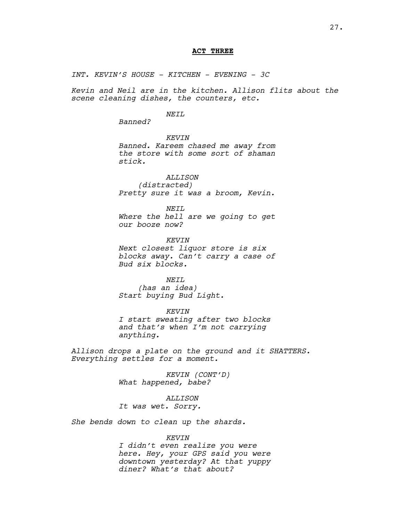# **ACT THREE**

*INT. KEVIN'S HOUSE - KITCHEN - EVENING - 3C*

*Kevin and Neil are in the kitchen. Allison flits about the scene cleaning dishes, the counters, etc.*

## *NEIL*

*Banned?*

*KEVIN Banned. Kareem chased me away from the store with some sort of shaman stick.*

*ALLISON (distracted) Pretty sure it was a broom, Kevin.*

*NEIL Where the hell are we going to get our booze now?*

*KEVIN Next closest liquor store is six blocks away. Can't carry a case of Bud six blocks.* 

*NEIL*

*(has an idea) Start buying Bud Light.*

*KEVIN I start sweating after two blocks and that's when I'm not carrying anything.*

*Allison drops a plate on the ground and it SHATTERS. Everything settles for a moment.*

> *KEVIN (CONT'D) What happened, babe?*

*ALLISON It was wet. Sorry.*

*She bends down to clean up the shards.*

### *KEVIN*

*I didn't even realize you were here. Hey, your GPS said you were downtown yesterday? At that yuppy diner? What's that about?*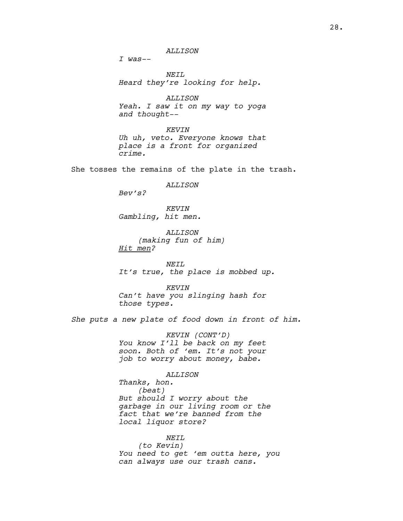*I was--*

*NEIL Heard they're looking for help.*

*ALLISON Yeah. I saw it on my way to yoga and thought--*

*KEVIN Uh uh, veto. Everyone knows that place is a front for organized crime.* 

She tosses the remains of the plate in the trash.

*ALLISON*

*Bev's?*

*KEVIN Gambling, hit men.* 

*ALLISON (making fun of him) Hit men?*

*NEIL It's true, the place is mobbed up.*

*KEVIN Can't have you slinging hash for those types.* 

*She puts a new plate of food down in front of him.*

*KEVIN (CONT'D) You know I'll be back on my feet soon. Both of 'em. It's not your job to worry about money, babe.* 

#### *ALLISON*

*Thanks, hon. (beat) But should I worry about the garbage in our living room or the fact that we're banned from the local liquor store?*

# *NEIL*

*(to Kevin) You need to get 'em outta here, you can always use our trash cans.*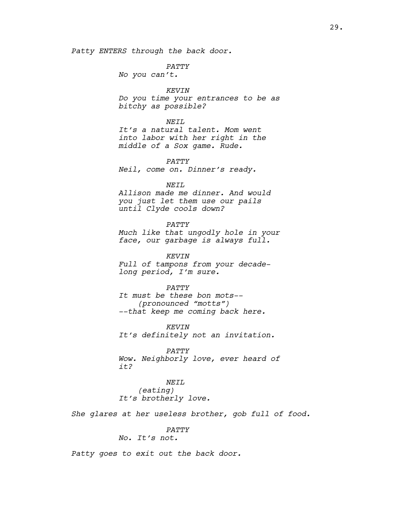*Patty ENTERS through the back door.*

#### *PATTY*

*No you can't.*

# *KEVIN*

*Do you time your entrances to be as bitchy as possible?*

#### *NEIL*

*It's a natural talent. Mom went into labor with her right in the middle of a Sox game. Rude.*

*PATTY*

*Neil, come on. Dinner's ready.*

#### *NEIL*

*Allison made me dinner. And would you just let them use our pails until Clyde cools down?*

*PATTY Much like that ungodly hole in your* 

*face, our garbage is always full.*

*KEVIN Full of tampons from your decadelong period, I'm sure.*

#### *PATTY*

*It must be these bon mots-- (pronounced "motts") --that keep me coming back here.*

*KEVIN It's definitely not an invitation.*

*PATTY Wow. Neighborly love, ever heard of it?*

*NEIL (eating) It's brotherly love.*

*She glares at her useless brother, gob full of food.*

# *PATTY*

*No. It's not.*

*Patty goes to exit out the back door.*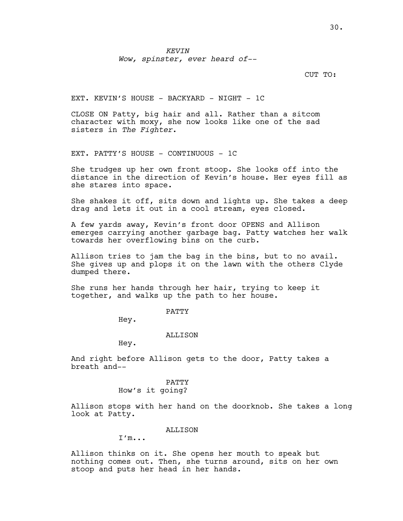*KEVIN Wow, spinster, ever heard of--*

## CUT TO:

EXT. KEVIN'S HOUSE - BACKYARD - NIGHT - 1C

CLOSE ON Patty, big hair and all. Rather than a sitcom character with moxy, she now looks like one of the sad sisters in *The Fighter*.

EXT. PATTY'S HOUSE - CONTINUOUS - 1C

She trudges up her own front stoop. She looks off into the distance in the direction of Kevin's house. Her eyes fill as she stares into space.

She shakes it off, sits down and lights up. She takes a deep drag and lets it out in a cool stream, eyes closed.

A few yards away, Kevin's front door OPENS and Allison emerges carrying another garbage bag. Patty watches her walk towards her overflowing bins on the curb.

Allison tries to jam the bag in the bins, but to no avail. She gives up and plops it on the lawn with the others Clyde dumped there.

She runs her hands through her hair, trying to keep it together, and walks up the path to her house.

## PATTY

Hey.

#### ALLISON

Hey.

And right before Allison gets to the door, Patty takes a breath and--

# PATTY How's it going?

Allison stops with her hand on the doorknob. She takes a long look at Patty.

## ALLISON

I'm...

Allison thinks on it. She opens her mouth to speak but nothing comes out. Then, she turns around, sits on her own stoop and puts her head in her hands.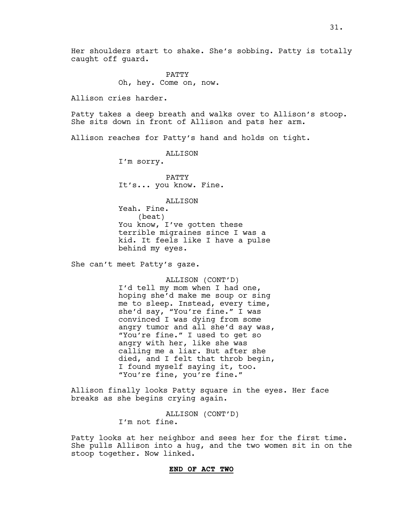PATTY Oh, hey. Come on, now.

Allison cries harder.

Patty takes a deep breath and walks over to Allison's stoop. She sits down in front of Allison and pats her arm.

Allison reaches for Patty's hand and holds on tight.

ALLISON

I'm sorry.

PATTY It's... you know. Fine.

ALLISON

Yeah. Fine. (beat) You know, I've gotten these terrible migraines since I was a kid. It feels like I have a pulse behind my eyes.

She can't meet Patty's gaze.

ALLISON (CONT'D) I'd tell my mom when I had one, hoping she'd make me soup or sing me to sleep. Instead, every time, she'd say, "You're fine." I was convinced I was dying from some angry tumor and all she'd say was, "You're fine." I used to get so angry with her, like she was calling me a liar. But after she died, and I felt that throb begin, I found myself saying it, too. "You're fine, you're fine."

Allison finally looks Patty square in the eyes. Her face breaks as she begins crying again.

> ALLISON (CONT'D) I'm not fine.

Patty looks at her neighbor and sees her for the first time. She pulls Allison into a hug, and the two women sit in on the stoop together. Now linked.

31.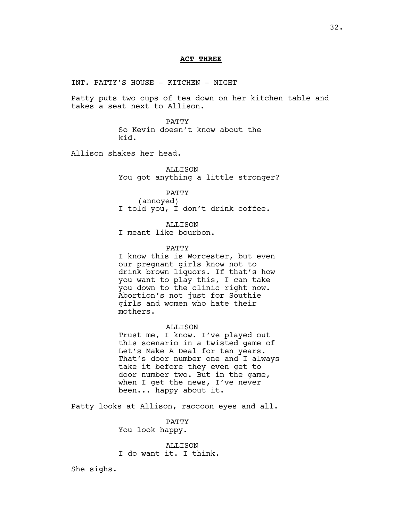#### **ACT THREE**

INT. PATTY'S HOUSE - KITCHEN - NIGHT

Patty puts two cups of tea down on her kitchen table and takes a seat next to Allison.

> PATTY So Kevin doesn't know about the kid.

Allison shakes her head.

ALLISON You got anything a little stronger?

PATTY

(annoyed) I told you, I don't drink coffee.

ALLISON

I meant like bourbon.

#### PATTY

I know this is Worcester, but even our pregnant girls know not to drink brown liquors. If that's how you want to play this, I can take you down to the clinic right now. Abortion's not just for Southie girls and women who hate their mothers.

## ALLISON

Trust me, I know. I've played out this scenario in a twisted game of Let's Make A Deal for ten years. That's door number one and I always take it before they even get to door number two. But in the game, when I get the news, I've never been... happy about it.

Patty looks at Allison, raccoon eyes and all.

PATTY You look happy.

ALLISON I do want it. I think.

She sighs.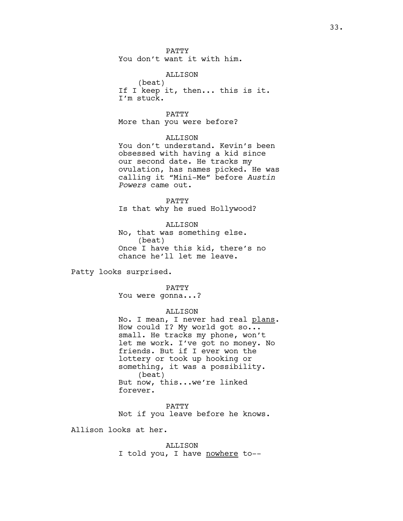PATTY You don't want it with him.

ALLISON

(beat) If I keep it, then... this is it. I'm stuck.

PATTY

More than you were before?

ALLISON

You don't understand. Kevin's been obsessed with having a kid since our second date. He tracks my ovulation, has names picked. He was calling it "Mini-Me" before *Austin Powers* came out.

PATTY Is that why he sued Hollywood?

ALLISON No, that was something else. (beat) Once I have this kid, there's no chance he'll let me leave.

Patty looks surprised.

PATTY

You were gonna...?

ALLISON

No. I mean, I never had real plans. How could I? My world got so... small. He tracks my phone, won't let me work. I've got no money. No friends. But if I ever won the lottery or took up hooking or something, it was a possibility. (beat) But now, this...we're linked forever.

PATTY Not if you leave before he knows.

Allison looks at her.

ALLISON I told you, I have nowhere to--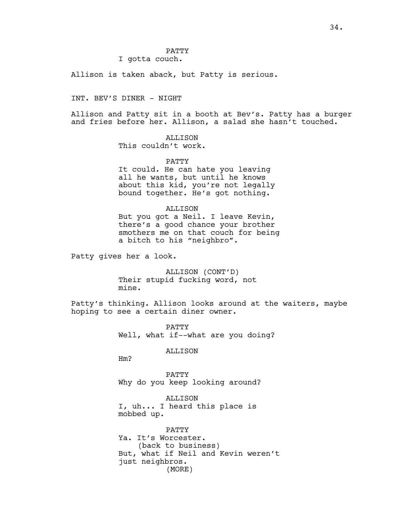# PATTY

# I gotta couch.

Allison is taken aback, but Patty is serious.

INT. BEV'S DINER - NIGHT

Allison and Patty sit in a booth at Bev's. Patty has a burger and fries before her. Allison, a salad she hasn't touched.

# ALLISON

This couldn't work.

# PATTY

It could. He can hate you leaving all he wants, but until he knows about this kid, you're not legally bound together. He's got nothing.

# ALLISON

But you got a Neil. I leave Kevin, there's a good chance your brother smothers me on that couch for being a bitch to his "neighbro".

Patty gives her a look.

ALLISON (CONT'D) Their stupid fucking word, not mine.

Patty's thinking. Allison looks around at the waiters, maybe hoping to see a certain diner owner.

> PATTY Well, what if--what are you doing?

# ALLISON

Hm?

PATTY Why do you keep looking around?

ALLISON I, uh... I heard this place is mobbed up.

PATTY Ya. It's Worcester. (back to business) But, what if Neil and Kevin weren't just neighbros. (MORE)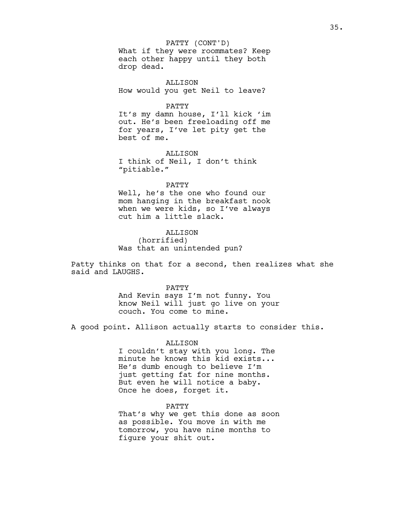What if they were roommates? Keep each other happy until they both drop dead. PATTY (CONT'D)

ALLISON How would you get Neil to leave?

PATTY

It's my damn house, I'll kick 'im out. He's been freeloading off me for years, I've let pity get the best of me.

**ALLISON** I think of Neil, I don't think "pitiable."

PATTY

Well, he's the one who found our mom hanging in the breakfast nook when we were kids, so I've always cut him a little slack.

ALLISON (horrified) Was that an unintended pun?

Patty thinks on that for a second, then realizes what she said and LAUGHS.

PATTY

And Kevin says I'm not funny. You know Neil will just go live on your couch. You come to mine.

A good point. Allison actually starts to consider this.

ALLISON

I couldn't stay with you long. The minute he knows this kid exists... He's dumb enough to believe I'm just getting fat for nine months. But even he will notice a baby. Once he does, forget it.

PATTY That's why we get this done as soon as possible. You move in with me tomorrow, you have nine months to figure your shit out.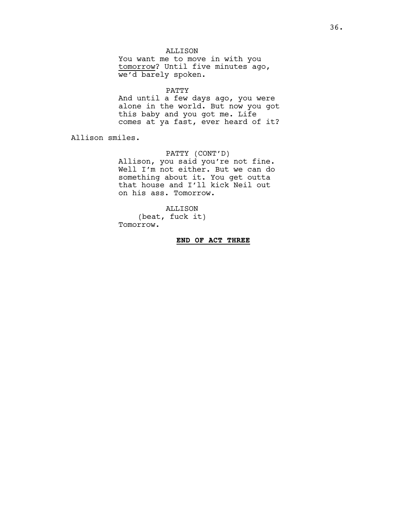# ALLISON

You want me to move in with you tomorrow? Until five minutes ago, we'd barely spoken.

# PATTY

And until a few days ago, you were alone in the world. But now you got this baby and you got me. Life comes at ya fast, ever heard of it?

Allison smiles.

# PATTY (CONT'D)

Allison, you said you're not fine. Well I'm not either. But we can do something about it. You get outta that house and I'll kick Neil out on his ass. Tomorrow.

## ALLISON

(beat, fuck it) Tomorrow.

# **END OF ACT THREE**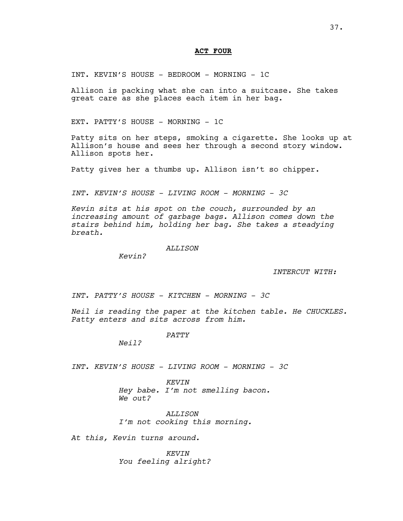# **ACT FOUR**

INT. KEVIN'S HOUSE - BEDROOM - MORNING - 1C

Allison is packing what she can into a suitcase. She takes great care as she places each item in her bag.

EXT. PATTY'S HOUSE - MORNING - 1C

Patty sits on her steps, smoking a cigarette. She looks up at Allison's house and sees her through a second story window. Allison spots her.

Patty gives her a thumbs up. Allison isn't so chipper.

*INT. KEVIN'S HOUSE - LIVING ROOM - MORNING - 3C*

*Kevin sits at his spot on the couch, surrounded by an increasing amount of garbage bags. Allison comes down the stairs behind him, holding her bag. She takes a steadying breath.*

*ALLISON*

*Kevin?*

*INTERCUT WITH:*

*INT. PATTY'S HOUSE - KITCHEN - MORNING - 3C*

*Neil is reading the paper at the kitchen table. He CHUCKLES. Patty enters and sits across from him.*

*PATTY*

*Neil?*

*INT. KEVIN'S HOUSE - LIVING ROOM - MORNING - 3C*

*KEVIN Hey babe. I'm not smelling bacon. We out?*

*ALLISON I'm not cooking this morning.*

*At this, Kevin turns around.*

*KEVIN You feeling alright?*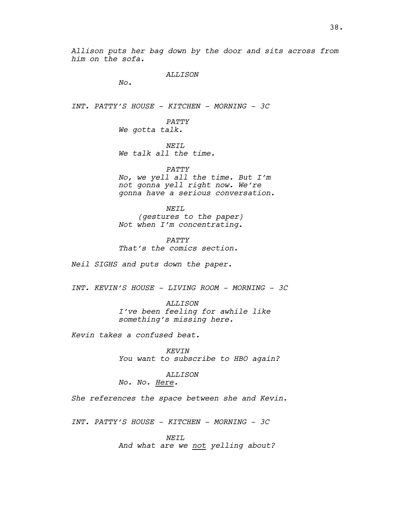*Allison puts her bag down by the door and sits across from him on the sofa.*

*ALLISON*

*No.*

*INT. PATTY'S HOUSE - KITCHEN - MORNING - 3C*

*PATTY We gotta talk.*

*NEIL We talk all the time.*

*PATTY No, we yell all the time. But I'm not gonna yell right now. We're gonna have a serious conversation.*

*NEIL (gestures to the paper) Not when I'm concentrating.*

*PATTY That's the comics section.*

*Neil SIGHS and puts down the paper.*

*INT. KEVIN'S HOUSE - LIVING ROOM - MORNING - 3C*

*ALLISON I've been feeling for awhile like something's missing here.*

*Kevin takes a confused beat.*

*KEVIN You want to subscribe to HBO again?*

*ALLISON*

*No. No. Here.*

*She references the space between she and Kevin.*

*INT. PATTY'S HOUSE - KITCHEN - MORNING - 3C*

*NEIL*

*And what are we not yelling about?*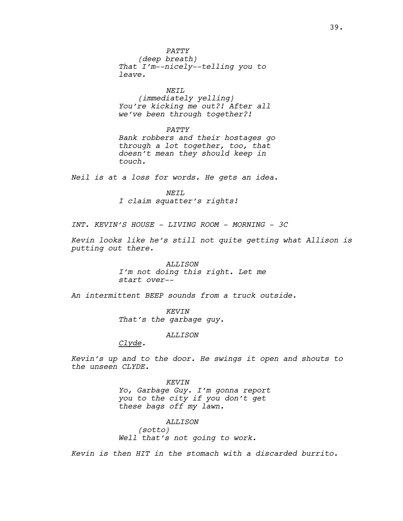*That I'm--nicely--telling you to leave.*

# *NEIL*

*(immediately yelling) You're kicking me out?! After all we've been through together?!*

## *PATTY*

*Bank robbers and their hostages go through a lot together, too, that doesn't mean they should keep in touch.*

*Neil is at a loss for words. He gets an idea.*

*NEIL I claim squatter's rights!*

*INT. KEVIN'S HOUSE - LIVING ROOM - MORNING - 3C*

*Kevin looks like he's still not quite getting what Allison is putting out there.*

> *ALLISON I'm not doing this right. Let me start over--*

*An intermittent BEEP sounds from a truck outside.*

*KEVIN That's the garbage guy.*

*ALLISON*

*Clyde.*

*Kevin's up and to the door. He swings it open and shouts to the unseen CLYDE.*

> *KEVIN Yo, Garbage Guy. I'm gonna report you to the city if you don't get these bags off my lawn.*

*ALLISON (sotto) Well that's not going to work.*

*Kevin is then HIT in the stomach with a discarded burrito.*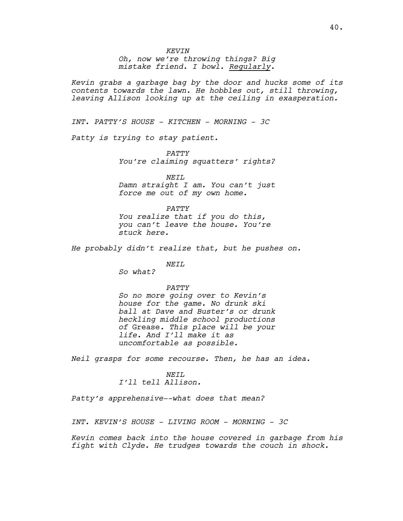*Oh, now we're throwing things? Big mistake friend. I bowl. Regularly.*

*Kevin grabs a garbage bag by the door and hucks some of its contents towards the lawn. He hobbles out, still throwing, leaving Allison looking up at the ceiling in exasperation.*

*INT. PATTY'S HOUSE - KITCHEN - MORNING - 3C*

*Patty is trying to stay patient.*

*PATTY You're claiming squatters' rights?*

*NEIL Damn straight I am. You can't just force me out of my own home.*

*PATTY You realize that if you do this, you can't leave the house. You're stuck here.* 

*He probably didn't realize that, but he pushes on.*

# *NEIL*

*So what?*

## *PATTY*

*So no more going over to Kevin's house for the game. No drunk ski ball at Dave and Buster's or drunk heckling middle school productions of* Grease*. This place will be your life. And I'll make it as uncomfortable as possible.*

*Neil grasps for some recourse. Then, he has an idea.*

## *NEIL*

*I'll tell Allison.*

*Patty's apprehensive--what does that mean?*

*INT. KEVIN'S HOUSE - LIVING ROOM - MORNING - 3C*

*Kevin comes back into the house covered in garbage from his fight with Clyde. He trudges towards the couch in shock.*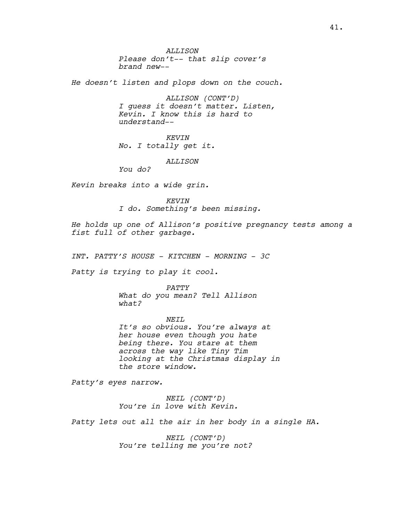*ALLISON Please don't-- that slip cover's brand new--*

*He doesn't listen and plops down on the couch.*

*ALLISON (CONT'D) I guess it doesn't matter. Listen, Kevin. I know this is hard to understand--*

*KEVIN No. I totally get it.*

*ALLISON*

*You do?* 

*Kevin breaks into a wide grin.* 

*KEVIN I do. Something's been missing.*

*He holds up one of Allison's positive pregnancy tests among a fist full of other garbage.* 

*INT. PATTY'S HOUSE - KITCHEN - MORNING - 3C*

*Patty is trying to play it cool.*

#### *PATTY*

*What do you mean? Tell Allison what?*

*NEIL It's so obvious. You're always at her house even though you hate being there. You stare at them across the way like Tiny Tim looking at the Christmas display in the store window.*

*Patty's eyes narrow.*

*NEIL (CONT'D) You're in love with Kevin.*

*Patty lets out all the air in her body in a single HA.*

*NEIL (CONT'D) You're telling me you're not?*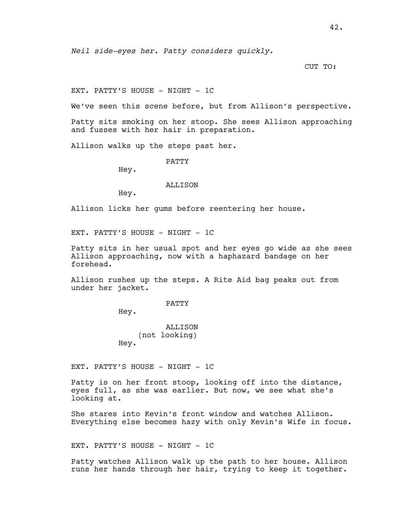CUT TO:

EXT. PATTY'S HOUSE - NIGHT - 1C

We've seen this scene before, but from Allison's perspective.

Patty sits smoking on her stoop. She sees Allison approaching and fusses with her hair in preparation.

Allison walks up the steps past her.

PATTY

Hey.

## ALLISON

Hey.

Allison licks her gums before reentering her house.

EXT. PATTY'S HOUSE - NIGHT - 1C

Patty sits in her usual spot and her eyes go wide as she sees Allison approaching, now with a haphazard bandage on her forehead.

Allison rushes up the steps. A Rite Aid bag peaks out from under her jacket.

PATTY

Hey.

**ALLISON** (not looking) Hey.

EXT. PATTY'S HOUSE - NIGHT - 1C

Patty is on her front stoop, looking off into the distance, eyes full, as she was earlier. But now, we see what she's looking at.

She stares into Kevin's front window and watches Allison. Everything else becomes hazy with only Kevin's Wife in focus.

EXT. PATTY'S HOUSE - NIGHT - 1C

Patty watches Allison walk up the path to her house. Allison runs her hands through her hair, trying to keep it together.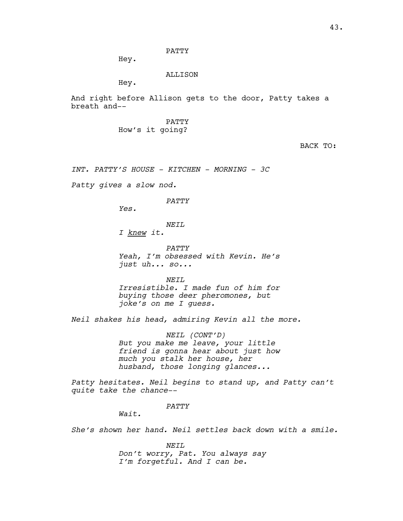PATTY

Hey.

#### ALLISON

Hey.

And right before Allison gets to the door, Patty takes a breath and--

> PATTY How's it going?

> > BACK TO:

*INT. PATTY'S HOUSE - KITCHEN - MORNING - 3C*

*Patty gives a slow nod.*

#### *PATTY*

*Yes.*

*NEIL*

*I knew it.*

*PATTY Yeah, I'm obsessed with Kevin. He's just uh... so...*

*NEIL*

*Irresistible. I made fun of him for buying those deer pheromones, but joke's on me I guess.*

*Neil shakes his head, admiring Kevin all the more.*

*NEIL (CONT'D) But you make me leave, your little friend is gonna hear about just how much you stalk her house, her husband, those longing glances...*

*Patty hesitates. Neil begins to stand up, and Patty can't quite take the chance--*

## *PATTY*

*Wait.*

*She's shown her hand. Neil settles back down with a smile.*

*NEIL Don't worry, Pat. You always say I'm forgetful. And I can be.*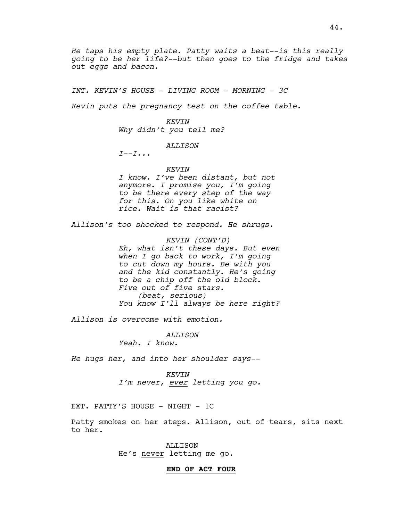*He taps his empty plate. Patty waits a beat--is this really going to be her life?--but then goes to the fridge and takes out eggs and bacon.*

*INT. KEVIN'S HOUSE - LIVING ROOM - MORNING - 3C*

*Kevin puts the pregnancy test on the coffee table.*

*KEVIN Why didn't you tell me?*

## *ALLISON*

*I--I...*

*KEVIN*

*I know. I've been distant, but not anymore. I promise you, I'm going to be there every step of the way for this. On you like white on rice. Wait is that racist?*

*Allison's too shocked to respond. He shrugs.*

*KEVIN (CONT'D) Eh, what isn't these days. But even when I go back to work, I'm going to cut down my hours. Be with you and the kid constantly. He's going to be a chip off the old block. Five out of five stars. (beat, serious) You know I'll always be here right?*

*Allison is overcome with emotion.*

*ALLISON*

*Yeah. I know.*

*He hugs her, and into her shoulder says--*

*KEVIN I'm never, ever letting you go.*

EXT. PATTY'S HOUSE - NIGHT - 1C

Patty smokes on her steps. Allison, out of tears, sits next to her.

> ALLISON He's never letting me go.

#### **END OF ACT FOUR**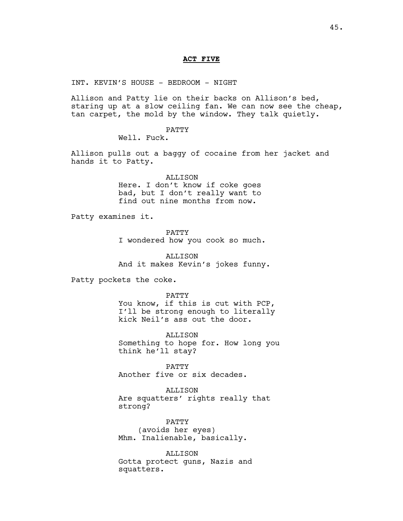#### **ACT FIVE**

INT. KEVIN'S HOUSE - BEDROOM - NIGHT

Allison and Patty lie on their backs on Allison's bed, staring up at a slow ceiling fan. We can now see the cheap, tan carpet, the mold by the window. They talk quietly.

PATTY

Well. Fuck.

Allison pulls out a baggy of cocaine from her jacket and hands it to Patty.

> ALLISON Here. I don't know if coke goes bad, but I don't really want to find out nine months from now.

Patty examines it.

PATTY I wondered how you cook so much.

ALLISON And it makes Kevin's jokes funny.

Patty pockets the coke.

PATTY You know, if this is cut with PCP, I'll be strong enough to literally kick Neil's ass out the door.

ALLISON Something to hope for. How long you think he'll stay?

PATTY Another five or six decades.

ALLISON Are squatters' rights really that strong?

PATTY (avoids her eyes) Mhm. Inalienable, basically.

ALLISON Gotta protect guns, Nazis and squatters.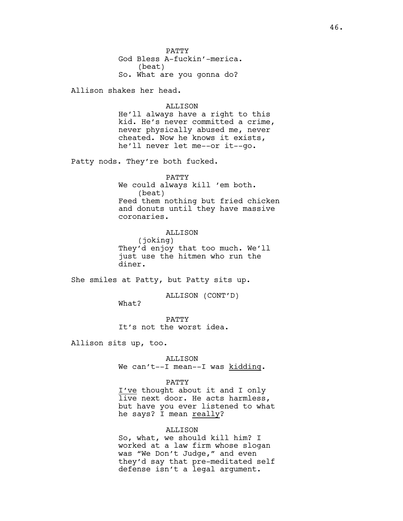PATTY God Bless A-fuckin'-merica. (beat) So. What are you gonna do?

Allison shakes her head.

## ALLISON

He'll always have a right to this kid. He's never committed a crime, never physically abused me, never cheated. Now he knows it exists, he'll never let me--or it--go.

Patty nods. They're both fucked.

PATTY We could always kill 'em both. (beat) Feed them nothing but fried chicken and donuts until they have massive coronaries.

ALLISON (joking) They'd enjoy that too much. We'll just use the hitmen who run the diner.

She smiles at Patty, but Patty sits up.

ALLISON (CONT'D)

What?

PATTY It's not the worst idea.

Allison sits up, too.

ALLISON We can't--I mean--I was kidding.

### PATTY

I've thought about it and I only live next door. He acts harmless, but have you ever listened to what he says? I mean really?

# ALLISON

So, what, we should kill him? I worked at a law firm whose slogan was "We Don't Judge," and even they'd say that pre-meditated self defense isn't a legal argument.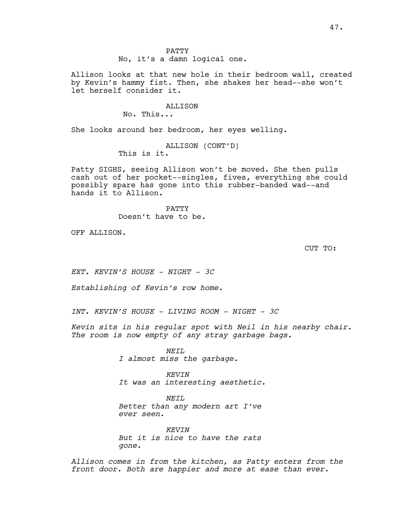PATTY No, it's a damn logical one.

Allison looks at that new hole in their bedroom wall, created by Kevin's hammy fist. Then, she shakes her head--she won't let herself consider it.

ALLISON

No. This...

She looks around her bedroom, her eyes welling.

ALLISON (CONT'D) This is it.

Patty SIGHS, seeing Allison won't be moved. She then pulls cash out of her pocket--singles, fives, everything she could possibly spare has gone into this rubber-banded wad--and hands it to Allison.

> PATTY Doesn't have to be.

OFF ALLISON.

CUT TO:

*EXT. KEVIN'S HOUSE - NIGHT - 3C*

*Establishing of Kevin's row home.*

*INT. KEVIN'S HOUSE - LIVING ROOM - NIGHT - 3C*

*Kevin sits in his regular spot with Neil in his nearby chair. The room is now empty of any stray garbage bags.*

> *NEIL I almost miss the garbage.*

*KEVIN It was an interesting aesthetic.*

*NEIL Better than any modern art I've ever seen.*

*KEVIN But it is nice to have the rats gone.*

*Allison comes in from the kitchen, as Patty enters from the front door. Both are happier and more at ease than ever.*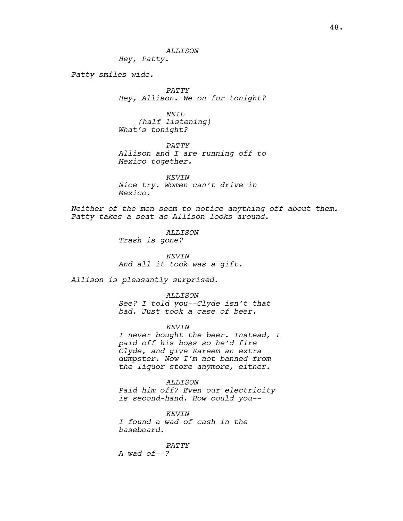*ALLISON*

*Hey, Patty.*

*Patty smiles wide.*

*PATTY Hey, Allison. We on for tonight?*

*NEIL (half listening) What's tonight?*

*PATTY Allison and I are running off to Mexico together.*

*KEVIN Nice try. Women can't drive in Mexico.*

*Neither of the men seem to notice anything off about them. Patty takes a seat as Allison looks around.*

> *ALLISON Trash is gone?*

*KEVIN And all it took was a gift.*

*Allison is pleasantly surprised.*

*ALLISON See? I told you--Clyde isn't that bad. Just took a case of beer.*

*KEVIN*

*I never bought the beer. Instead, I paid off his boss so he'd fire Clyde, and give Kareem an extra dumpster. Now I'm not banned from the liquor store anymore, either.*

*ALLISON Paid him off? Even our electricity is second-hand. How could you--*

*KEVIN I found a wad of cash in the baseboard.*

*PATTY A wad of--?*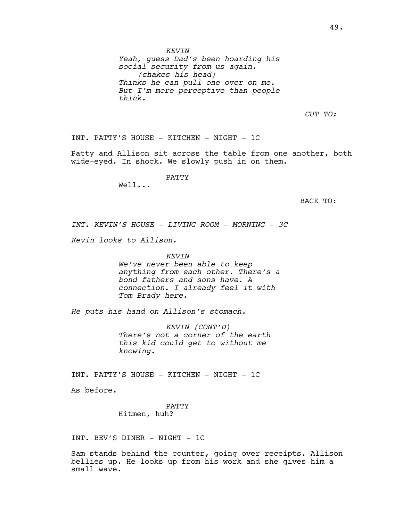*Yeah, guess Dad's been hoarding his social security from us again. (shakes his head) Thinks he can pull one over on me. But I'm more perceptive than people think.*

*CUT TO:*

INT. PATTY'S HOUSE - KITCHEN - NIGHT - 1C

Patty and Allison sit across the table from one another, both wide-eyed. In shock. We slowly push in on them.

PATTY

Well...

BACK TO:

*INT. KEVIN'S HOUSE - LIVING ROOM - MORNING - 3C*

*Kevin looks to Allison.*

*KEVIN We've never been able to keep anything from each other. There's a bond fathers and sons have. A connection. I already feel it with* 

*He puts his hand on Allison's stomach.*

*Tom Brady here.*

*KEVIN (CONT'D) There's not a corner of the earth this kid could get to without me knowing.*

INT. PATTY'S HOUSE - KITCHEN - NIGHT - 1C

As before.

PATTY Hitmen, huh?

INT. BEV'S DINER - NIGHT - 1C

Sam stands behind the counter, going over receipts. Allison bellies up. He looks up from his work and she gives him a small wave.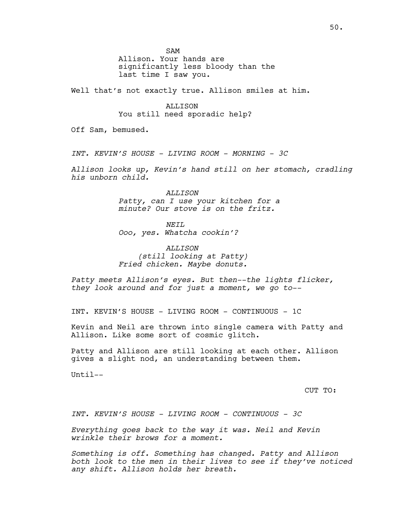SAM

Allison. Your hands are significantly less bloody than the last time I saw you.

Well that's not exactly true. Allison smiles at him.

# ALLISON

You still need sporadic help?

Off Sam, bemused.

*INT. KEVIN'S HOUSE - LIVING ROOM - MORNING - 3C*

*Allison looks up, Kevin's hand still on her stomach, cradling his unborn child.*

> *ALLISON Patty, can I use your kitchen for a minute? Our stove is on the fritz.*

*NEIL Ooo, yes. Whatcha cookin'?*

*ALLISON (still looking at Patty) Fried chicken. Maybe donuts.*

*Patty meets Allison's eyes. But then--the lights flicker, they look around and for just a moment, we go to--*

INT. KEVIN'S HOUSE - LIVING ROOM - CONTINUOUS - 1C

Kevin and Neil are thrown into single camera with Patty and Allison. Like some sort of cosmic glitch.

Patty and Allison are still looking at each other. Allison gives a slight nod, an understanding between them.

Until--

CUT TO:

*INT. KEVIN'S HOUSE - LIVING ROOM - CONTINUOUS - 3C*

*Everything goes back to the way it was. Neil and Kevin wrinkle their brows for a moment.* 

*Something is off. Something has changed. Patty and Allison both look to the men in their lives to see if they've noticed any shift. Allison holds her breath.*